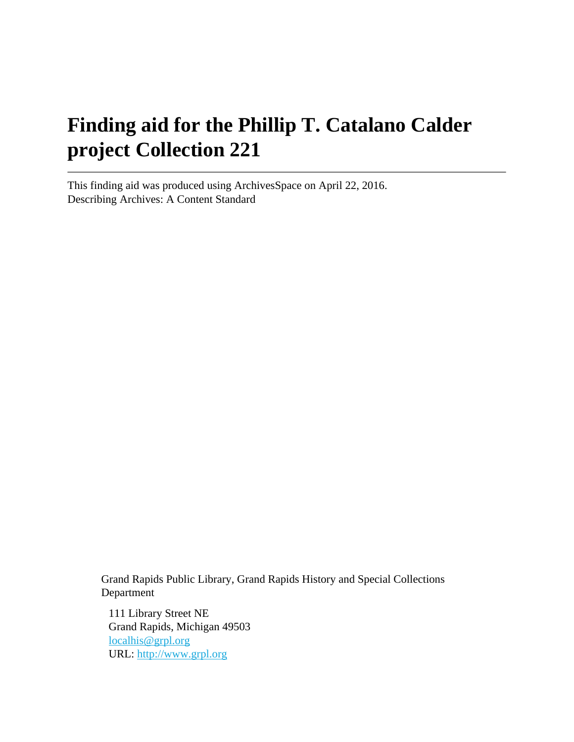# **Finding aid for the Phillip T. Catalano Calder project Collection 221**

This finding aid was produced using ArchivesSpace on April 22, 2016. Describing Archives: A Content Standard

> Grand Rapids Public Library, Grand Rapids History and Special Collections Department

111 Library Street NE Grand Rapids, Michigan 49503 [localhis@grpl.org](mailto:localhis@grpl.org) URL:<http://www.grpl.org>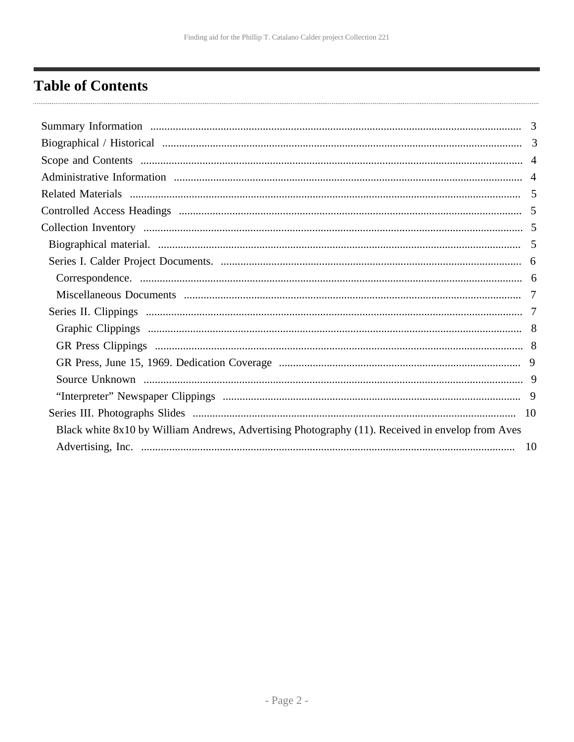# <span id="page-1-0"></span>**Table of Contents**

| Black white 8x10 by William Andrews, Advertising Photography (11). Received in envelop from Aves |  |
|--------------------------------------------------------------------------------------------------|--|
|                                                                                                  |  |
|                                                                                                  |  |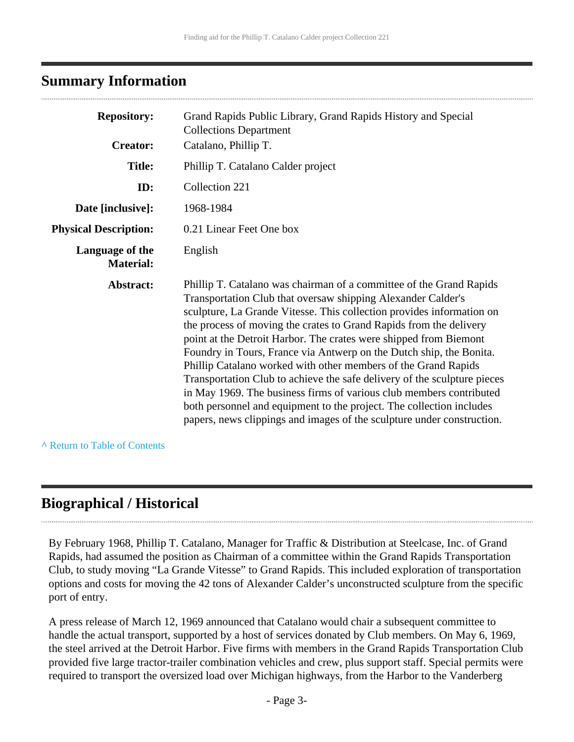### <span id="page-2-0"></span>**Summary Information**

| <b>Repository:</b>                  | Grand Rapids Public Library, Grand Rapids History and Special<br><b>Collections Department</b>                                                                                                                                                                                                                                                                                                                                                                                                                                                                                                                                                                                                                                                                                                        |  |
|-------------------------------------|-------------------------------------------------------------------------------------------------------------------------------------------------------------------------------------------------------------------------------------------------------------------------------------------------------------------------------------------------------------------------------------------------------------------------------------------------------------------------------------------------------------------------------------------------------------------------------------------------------------------------------------------------------------------------------------------------------------------------------------------------------------------------------------------------------|--|
| <b>Creator:</b>                     | Catalano, Phillip T.                                                                                                                                                                                                                                                                                                                                                                                                                                                                                                                                                                                                                                                                                                                                                                                  |  |
| <b>Title:</b>                       | Phillip T. Catalano Calder project                                                                                                                                                                                                                                                                                                                                                                                                                                                                                                                                                                                                                                                                                                                                                                    |  |
| ID:                                 | Collection 221                                                                                                                                                                                                                                                                                                                                                                                                                                                                                                                                                                                                                                                                                                                                                                                        |  |
| Date [inclusive]:                   | 1968-1984                                                                                                                                                                                                                                                                                                                                                                                                                                                                                                                                                                                                                                                                                                                                                                                             |  |
| <b>Physical Description:</b>        | 0.21 Linear Feet One box                                                                                                                                                                                                                                                                                                                                                                                                                                                                                                                                                                                                                                                                                                                                                                              |  |
| Language of the<br><b>Material:</b> | English                                                                                                                                                                                                                                                                                                                                                                                                                                                                                                                                                                                                                                                                                                                                                                                               |  |
| Abstract:                           | Phillip T. Catalano was chairman of a committee of the Grand Rapids<br>Transportation Club that oversaw shipping Alexander Calder's<br>sculpture, La Grande Vitesse. This collection provides information on<br>the process of moving the crates to Grand Rapids from the delivery<br>point at the Detroit Harbor. The crates were shipped from Biemont<br>Foundry in Tours, France via Antwerp on the Dutch ship, the Bonita.<br>Phillip Catalano worked with other members of the Grand Rapids<br>Transportation Club to achieve the safe delivery of the sculpture pieces<br>in May 1969. The business firms of various club members contributed<br>both personnel and equipment to the project. The collection includes<br>papers, news clippings and images of the sculpture under construction. |  |

**^** [Return to Table of Contents](#page-1-0)

### <span id="page-2-1"></span>**Biographical / Historical**

By February 1968, Phillip T. Catalano, Manager for Traffic & Distribution at Steelcase, Inc. of Grand Rapids, had assumed the position as Chairman of a committee within the Grand Rapids Transportation Club, to study moving "La Grande Vitesse" to Grand Rapids. This included exploration of transportation options and costs for moving the 42 tons of Alexander Calder's unconstructed sculpture from the specific port of entry.

A press release of March 12, 1969 announced that Catalano would chair a subsequent committee to handle the actual transport, supported by a host of services donated by Club members. On May 6, 1969, the steel arrived at the Detroit Harbor. Five firms with members in the Grand Rapids Transportation Club provided five large tractor-trailer combination vehicles and crew, plus support staff. Special permits were required to transport the oversized load over Michigan highways, from the Harbor to the Vanderberg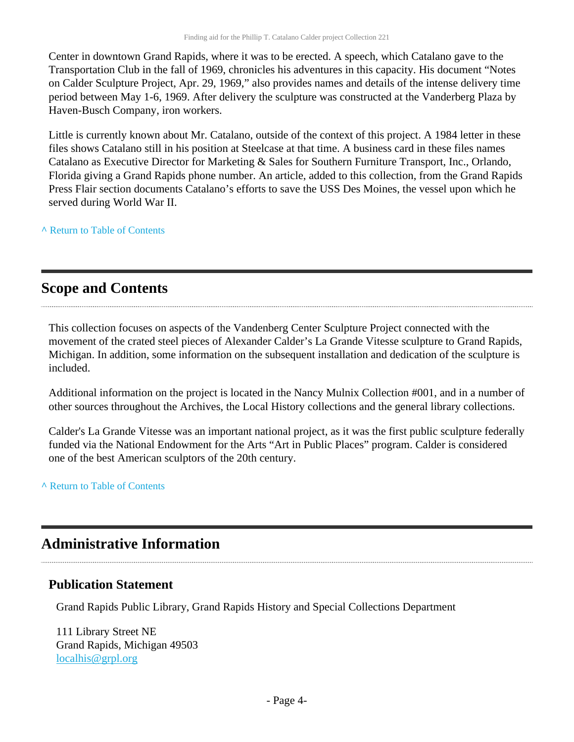Center in downtown Grand Rapids, where it was to be erected. A speech, which Catalano gave to the Transportation Club in the fall of 1969, chronicles his adventures in this capacity. His document "Notes on Calder Sculpture Project, Apr. 29, 1969," also provides names and details of the intense delivery time period between May 1-6, 1969. After delivery the sculpture was constructed at the Vanderberg Plaza by Haven-Busch Company, iron workers.

Little is currently known about Mr. Catalano, outside of the context of this project. A 1984 letter in these files shows Catalano still in his position at Steelcase at that time. A business card in these files names Catalano as Executive Director for Marketing & Sales for Southern Furniture Transport, Inc., Orlando, Florida giving a Grand Rapids phone number. An article, added to this collection, from the Grand Rapids Press Flair section documents Catalano's efforts to save the USS Des Moines, the vessel upon which he served during World War II.

**^** [Return to Table of Contents](#page-1-0)

### <span id="page-3-0"></span>**Scope and Contents**

This collection focuses on aspects of the Vandenberg Center Sculpture Project connected with the movement of the crated steel pieces of Alexander Calder's La Grande Vitesse sculpture to Grand Rapids, Michigan. In addition, some information on the subsequent installation and dedication of the sculpture is included.

Additional information on the project is located in the Nancy Mulnix Collection #001, and in a number of other sources throughout the Archives, the Local History collections and the general library collections.

Calder's La Grande Vitesse was an important national project, as it was the first public sculpture federally funded via the National Endowment for the Arts "Art in Public Places" program. Calder is considered one of the best American sculptors of the 20th century.

**^** [Return to Table of Contents](#page-1-0)

### <span id="page-3-1"></span>**Administrative Information**

#### **Publication Statement**

Grand Rapids Public Library, Grand Rapids History and Special Collections Department

111 Library Street NE Grand Rapids, Michigan 49503 [localhis@grpl.org](mailto:localhis@grpl.org)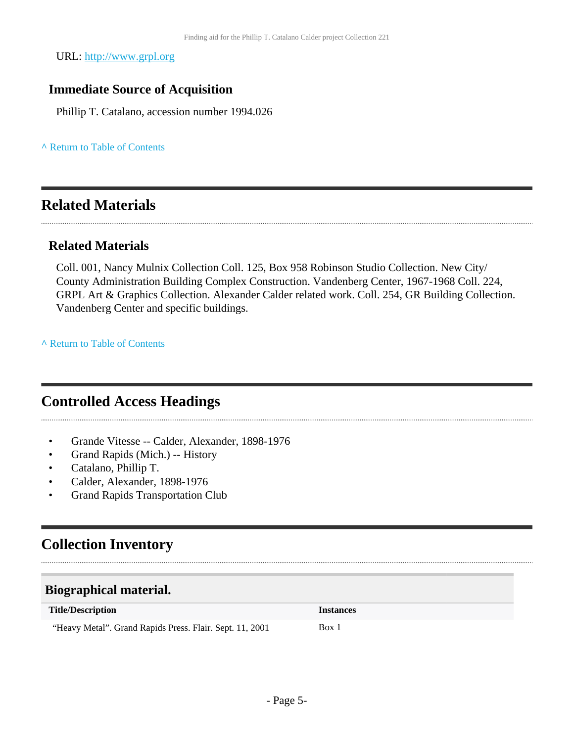URL:<http://www.grpl.org>

### **Immediate Source of Acquisition**

Phillip T. Catalano, accession number 1994.026

**^** [Return to Table of Contents](#page-1-0)

### <span id="page-4-0"></span>**Related Materials**

#### **Related Materials**

Coll. 001, Nancy Mulnix Collection Coll. 125, Box 958 Robinson Studio Collection. New City/ County Administration Building Complex Construction. Vandenberg Center, 1967-1968 Coll. 224, GRPL Art & Graphics Collection. Alexander Calder related work. Coll. 254, GR Building Collection. Vandenberg Center and specific buildings.

**^** [Return to Table of Contents](#page-1-0)

### <span id="page-4-1"></span>**Controlled Access Headings**

- Grande Vitesse -- Calder, Alexander, 1898-1976
- Grand Rapids (Mich.) -- History
- Catalano, Phillip T.
- Calder, Alexander, 1898-1976
- Grand Rapids Transportation Club

# <span id="page-4-2"></span>**Collection Inventory**

#### <span id="page-4-3"></span>**Biographical material.**

| <b>Title/Description</b> |        |           | <b>Instances</b> |
|--------------------------|--------|-----------|------------------|
|                          | $   -$ | ____<br>. |                  |

- Page 5-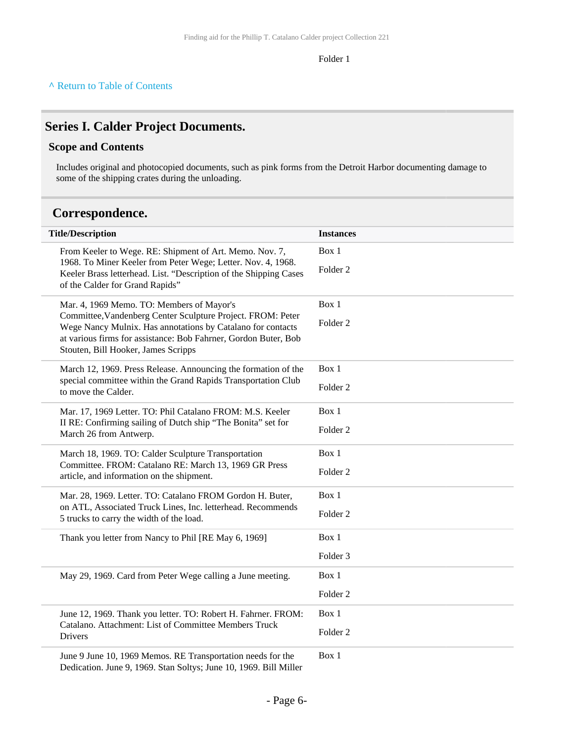#### Folder 1

#### <span id="page-5-0"></span>**Series I. Calder Project Documents.**

#### **Scope and Contents**

Includes original and photocopied documents, such as pink forms from the Detroit Harbor documenting damage to some of the shipping crates during the unloading.

### <span id="page-5-1"></span>**Correspondence.**

| <b>Title/Description</b>                                                                                                                                                                                                                                                          | <b>Instances</b>    |
|-----------------------------------------------------------------------------------------------------------------------------------------------------------------------------------------------------------------------------------------------------------------------------------|---------------------|
| From Keeler to Wege. RE: Shipment of Art. Memo. Nov. 7,<br>1968. To Miner Keeler from Peter Wege; Letter. Nov. 4, 1968.<br>Keeler Brass letterhead. List. "Description of the Shipping Cases<br>of the Calder for Grand Rapids"                                                   | Box 1               |
|                                                                                                                                                                                                                                                                                   | Folder <sub>2</sub> |
| Mar. 4, 1969 Memo. TO: Members of Mayor's<br>Committee, Vandenberg Center Sculpture Project. FROM: Peter<br>Wege Nancy Mulnix. Has annotations by Catalano for contacts<br>at various firms for assistance: Bob Fahrner, Gordon Buter, Bob<br>Stouten, Bill Hooker, James Scripps | Box 1               |
|                                                                                                                                                                                                                                                                                   | Folder <sub>2</sub> |
| March 12, 1969. Press Release. Announcing the formation of the                                                                                                                                                                                                                    | Box 1               |
| special committee within the Grand Rapids Transportation Club<br>to move the Calder.                                                                                                                                                                                              | Folder <sub>2</sub> |
| Mar. 17, 1969 Letter. TO: Phil Catalano FROM: M.S. Keeler<br>II RE: Confirming sailing of Dutch ship "The Bonita" set for<br>March 26 from Antwerp.                                                                                                                               | Box 1               |
|                                                                                                                                                                                                                                                                                   | Folder <sub>2</sub> |
| March 18, 1969. TO: Calder Sculpture Transportation                                                                                                                                                                                                                               | Box 1               |
| Committee. FROM: Catalano RE: March 13, 1969 GR Press<br>article, and information on the shipment.                                                                                                                                                                                | Folder <sub>2</sub> |
| Mar. 28, 1969. Letter. TO: Catalano FROM Gordon H. Buter,<br>on ATL, Associated Truck Lines, Inc. letterhead. Recommends<br>5 trucks to carry the width of the load.                                                                                                              | Box 1               |
|                                                                                                                                                                                                                                                                                   | Folder <sub>2</sub> |
| Thank you letter from Nancy to Phil [RE May 6, 1969]                                                                                                                                                                                                                              | Box 1               |
|                                                                                                                                                                                                                                                                                   | Folder <sub>3</sub> |
| May 29, 1969. Card from Peter Wege calling a June meeting.                                                                                                                                                                                                                        | Box 1               |
|                                                                                                                                                                                                                                                                                   | Folder <sub>2</sub> |
| June 12, 1969. Thank you letter. TO: Robert H. Fahrner. FROM:                                                                                                                                                                                                                     | Box 1               |
| Catalano. Attachment: List of Committee Members Truck<br>Drivers                                                                                                                                                                                                                  | Folder <sub>2</sub> |
| June 9 June 10, 1969 Memos. RE Transportation needs for the<br>Dedication. June 9, 1969. Stan Soltys; June 10, 1969. Bill Miller                                                                                                                                                  | Box 1               |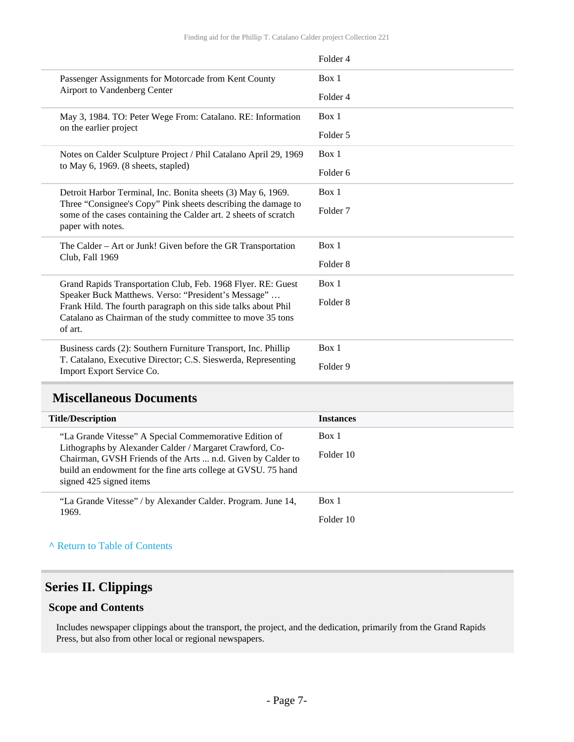|         |                                                                                                                                                                                                                        | Folder 4            |
|---------|------------------------------------------------------------------------------------------------------------------------------------------------------------------------------------------------------------------------|---------------------|
|         | Passenger Assignments for Motorcade from Kent County<br>Airport to Vandenberg Center                                                                                                                                   | Box 1               |
|         |                                                                                                                                                                                                                        | Folder 4            |
|         | May 3, 1984. TO: Peter Wege From: Catalano. RE: Information<br>on the earlier project                                                                                                                                  | Box 1               |
|         |                                                                                                                                                                                                                        | Folder 5            |
|         | Notes on Calder Sculpture Project / Phil Catalano April 29, 1969<br>to May $6, 1969.$ (8 sheets, stapled)                                                                                                              | Box 1               |
|         |                                                                                                                                                                                                                        | Folder <sub>6</sub> |
|         | Detroit Harbor Terminal, Inc. Bonita sheets (3) May 6, 1969.<br>Three "Consignee's Copy" Pink sheets describing the damage to<br>some of the cases containing the Calder art. 2 sheets of scratch<br>paper with notes. | Box 1               |
|         |                                                                                                                                                                                                                        | Folder <sub>7</sub> |
|         | The Calder – Art or Junk! Given before the GR Transportation<br>Club, Fall 1969                                                                                                                                        | Box 1               |
|         |                                                                                                                                                                                                                        | Folder <sub>8</sub> |
|         | Grand Rapids Transportation Club, Feb. 1968 Flyer. RE: Guest                                                                                                                                                           | Box 1               |
|         | Speaker Buck Matthews. Verso: "President's Message"<br>Frank Hild. The fourth paragraph on this side talks about Phil                                                                                                  | Folder <sub>8</sub> |
| of art. | Catalano as Chairman of the study committee to move 35 tons                                                                                                                                                            |                     |
|         | Business cards (2): Southern Furniture Transport, Inc. Phillip                                                                                                                                                         | Box 1               |
|         | T. Catalano, Executive Director; C.S. Sieswerda, Representing<br>Import Export Service Co.                                                                                                                             | Folder 9            |

### <span id="page-6-0"></span>**Miscellaneous Documents**

| <b>Title/Description</b>                                                                                                | <b>Instances</b> |
|-------------------------------------------------------------------------------------------------------------------------|------------------|
| "La Grande Vitesse" A Special Commemorative Edition of                                                                  | Box 1            |
| Lithographs by Alexander Calder / Margaret Crawford, Co-<br>Chairman, GVSH Friends of the Arts  n.d. Given by Calder to | Folder 10        |
| build an endowment for the fine arts college at GVSU. 75 hand<br>signed 425 signed items                                |                  |
|                                                                                                                         |                  |
| "La Grande Vitesse" / by Alexander Calder. Program. June 14,                                                            | Box 1            |
| 1969.                                                                                                                   | Folder 10        |
|                                                                                                                         |                  |

#### **^** [Return to Table of Contents](#page-1-0)

### <span id="page-6-1"></span>**Series II. Clippings**

#### **Scope and Contents**

Includes newspaper clippings about the transport, the project, and the dedication, primarily from the Grand Rapids Press, but also from other local or regional newspapers.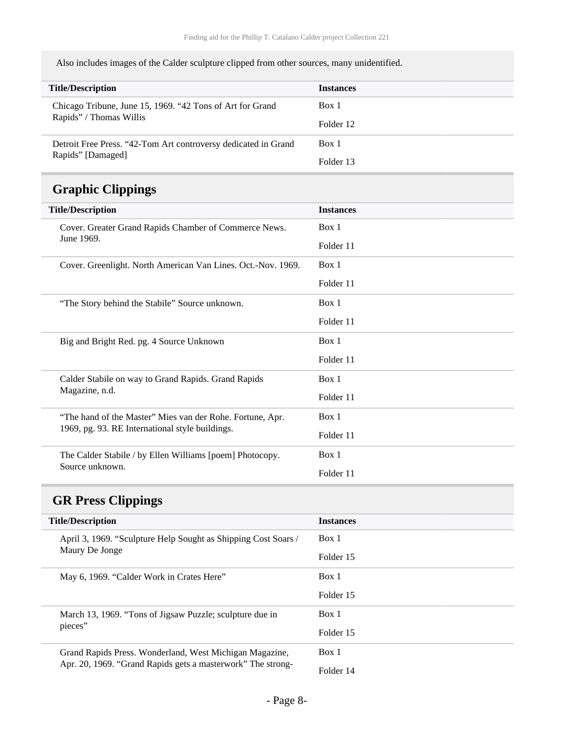Also includes images of the Calder sculpture clipped from other sources, many unidentified.

| <b>Title/Description</b>                                       | <b>Instances</b> |
|----------------------------------------------------------------|------------------|
| Chicago Tribune, June 15, 1969. "42 Tons of Art for Grand      | Box 1            |
| Rapids" / Thomas Willis                                        | Folder 12        |
| Detroit Free Press. "42-Tom Art controversy dedicated in Grand | Box 1            |
| Rapids" [Damaged]                                              | Folder 13        |

# <span id="page-7-0"></span>**Graphic Clippings**

| <b>Title/Description</b>                                     | <b>Instances</b> |
|--------------------------------------------------------------|------------------|
| Cover. Greater Grand Rapids Chamber of Commerce News.        | Box 1            |
| June 1969.                                                   | Folder 11        |
| Cover. Greenlight. North American Van Lines. Oct.-Nov. 1969. | Box 1            |
|                                                              | Folder 11        |
| "The Story behind the Stabile" Source unknown.               | Box 1            |
|                                                              | Folder 11        |
| Big and Bright Red. pg. 4 Source Unknown                     | Box 1            |
|                                                              | Folder 11        |
| Calder Stabile on way to Grand Rapids. Grand Rapids          | Box 1            |
| Magazine, n.d.                                               | Folder 11        |
| "The hand of the Master" Mies van der Rohe. Fortune, Apr.    | Box 1            |
| 1969, pg. 93. RE International style buildings.              | Folder 11        |
| The Calder Stabile / by Ellen Williams [poem] Photocopy.     | Box 1            |
| Source unknown.                                              | Folder 11        |

# <span id="page-7-1"></span>**GR Press Clippings**

| <b>Title/Description</b>                                       | <b>Instances</b> |
|----------------------------------------------------------------|------------------|
| April 3, 1969. "Sculpture Help Sought as Shipping Cost Soars / | Box 1            |
| Maury De Jonge                                                 | Folder 15        |
| May 6, 1969. "Calder Work in Crates Here"                      | Box 1            |
|                                                                | Folder 15        |
| March 13, 1969. "Tons of Jigsaw Puzzle; sculpture due in       | Box 1            |
| pieces"                                                        | Folder 15        |
| Grand Rapids Press. Wonderland, West Michigan Magazine,        | Box 1            |
| Apr. 20, 1969. "Grand Rapids gets a masterwork" The strong-    | Folder 14        |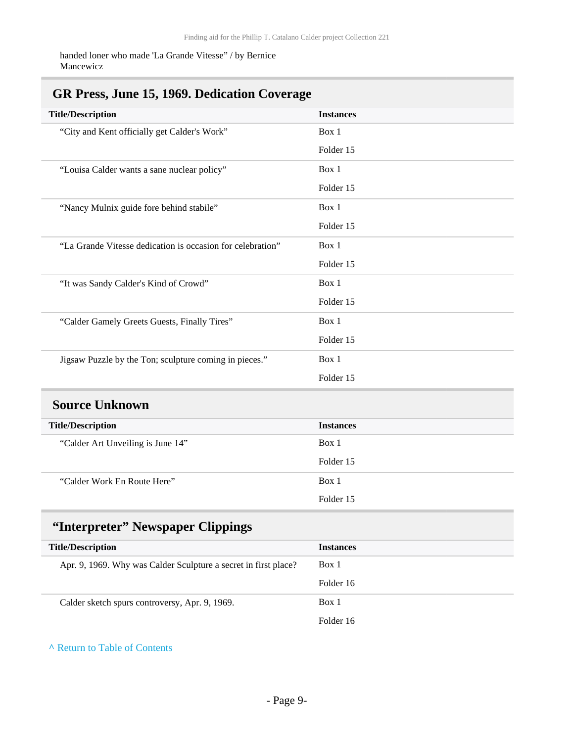handed loner who made 'La Grande Vitesse" / by Bernice Mancewicz

### <span id="page-8-0"></span>**GR Press, June 15, 1969. Dedication Coverage**

| <b>Title/Description</b>                                        | <b>Instances</b> |
|-----------------------------------------------------------------|------------------|
| "City and Kent officially get Calder's Work"                    | Box 1            |
|                                                                 | Folder 15        |
| "Louisa Calder wants a sane nuclear policy"                     | Box 1            |
|                                                                 | Folder 15        |
| "Nancy Mulnix guide fore behind stabile"                        | Box 1            |
|                                                                 | Folder 15        |
| "La Grande Vitesse dedication is occasion for celebration"      | Box 1            |
|                                                                 | Folder 15        |
| "It was Sandy Calder's Kind of Crowd"                           | Box 1            |
|                                                                 | Folder 15        |
| "Calder Gamely Greets Guests, Finally Tires"                    | Box 1            |
|                                                                 | Folder 15        |
| Jigsaw Puzzle by the Ton; sculpture coming in pieces."          | Box 1            |
|                                                                 | Folder 15        |
| <b>Source Unknown</b>                                           |                  |
| <b>Title/Description</b>                                        | <b>Instances</b> |
| "Calder Art Unveiling is June 14"                               | Box 1            |
|                                                                 | Folder 15        |
| "Calder Work En Route Here"                                     | Box 1            |
|                                                                 | Folder 15        |
| "Interpreter" Newspaper Clippings                               |                  |
| <b>Title/Description</b>                                        | <b>Instances</b> |
| Apr. 9, 1969. Why was Calder Sculpture a secret in first place? | Box 1            |
|                                                                 | Folder 16        |
| Calder sketch spurs controversy, Apr. 9, 1969.                  | Box 1            |
|                                                                 | Folder 16        |

<span id="page-8-2"></span><span id="page-8-1"></span>**^** [Return to Table of Contents](#page-1-0)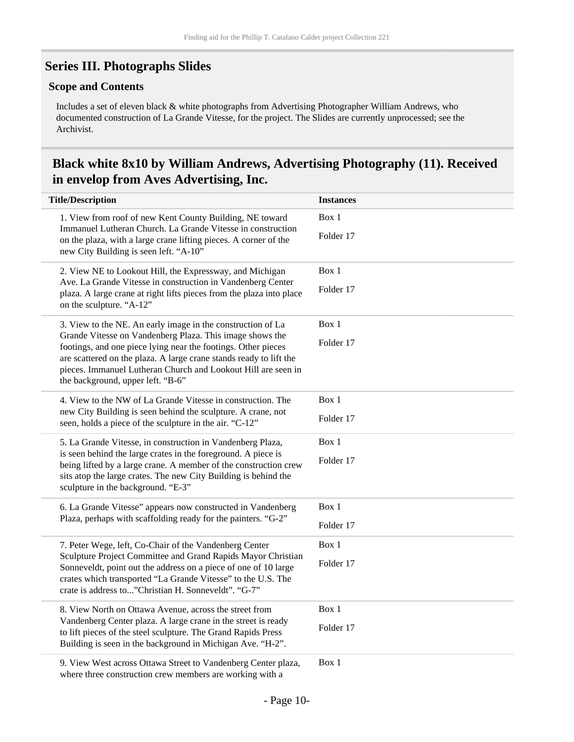### <span id="page-9-0"></span>**Series III. Photographs Slides**

#### **Scope and Contents**

Includes a set of eleven black & white photographs from Advertising Photographer William Andrews, who documented construction of La Grande Vitesse, for the project. The Slides are currently unprocessed; see the Archivist.

### <span id="page-9-1"></span>**Black white 8x10 by William Andrews, Advertising Photography (11). Received in envelop from Aves Advertising, Inc.**

| <b>Title/Description</b>                                                                                                                                                                                                                                                                                 | <b>Instances</b> |
|----------------------------------------------------------------------------------------------------------------------------------------------------------------------------------------------------------------------------------------------------------------------------------------------------------|------------------|
| 1. View from roof of new Kent County Building, NE toward                                                                                                                                                                                                                                                 | Box 1            |
| Immanuel Lutheran Church. La Grande Vitesse in construction<br>on the plaza, with a large crane lifting pieces. A corner of the<br>new City Building is seen left. "A-10"                                                                                                                                | Folder 17        |
| 2. View NE to Lookout Hill, the Expressway, and Michigan<br>Ave. La Grande Vitesse in construction in Vandenberg Center<br>plaza. A large crane at right lifts pieces from the plaza into place<br>on the sculpture. "A-12"                                                                              | Box 1            |
|                                                                                                                                                                                                                                                                                                          | Folder 17        |
| 3. View to the NE. An early image in the construction of La                                                                                                                                                                                                                                              | Box 1            |
| Grande Vitesse on Vandenberg Plaza. This image shows the<br>footings, and one piece lying near the footings. Other pieces<br>are scattered on the plaza. A large crane stands ready to lift the<br>pieces. Immanuel Lutheran Church and Lookout Hill are seen in<br>the background, upper left. "B-6"    | Folder 17        |
| 4. View to the NW of La Grande Vitesse in construction. The                                                                                                                                                                                                                                              | Box 1            |
| new City Building is seen behind the sculpture. A crane, not<br>seen, holds a piece of the sculpture in the air. "C-12"                                                                                                                                                                                  | Folder 17        |
| 5. La Grande Vitesse, in construction in Vandenberg Plaza,<br>is seen behind the large crates in the foreground. A piece is<br>being lifted by a large crane. A member of the construction crew<br>sits atop the large crates. The new City Building is behind the<br>sculpture in the background. "E-3" | Box 1            |
|                                                                                                                                                                                                                                                                                                          | Folder 17        |
| 6. La Grande Vitesse" appears now constructed in Vandenberg                                                                                                                                                                                                                                              | Box 1            |
| Plaza, perhaps with scaffolding ready for the painters. "G-2"                                                                                                                                                                                                                                            | Folder 17        |
| 7. Peter Wege, left, Co-Chair of the Vandenberg Center                                                                                                                                                                                                                                                   | Box 1            |
| Sculpture Project Committee and Grand Rapids Mayor Christian<br>Sonneveldt, point out the address on a piece of one of 10 large<br>crates which transported "La Grande Vitesse" to the U.S. The<br>crate is address to"Christian H. Sonneveldt". "G-7"                                                   | Folder 17        |
| 8. View North on Ottawa Avenue, across the street from<br>Vandenberg Center plaza. A large crane in the street is ready<br>to lift pieces of the steel sculpture. The Grand Rapids Press<br>Building is seen in the background in Michigan Ave. "H-2".                                                   | Box 1            |
|                                                                                                                                                                                                                                                                                                          | Folder 17        |
| 9. View West across Ottawa Street to Vandenberg Center plaza,<br>where three construction crew members are working with a                                                                                                                                                                                | Box 1            |